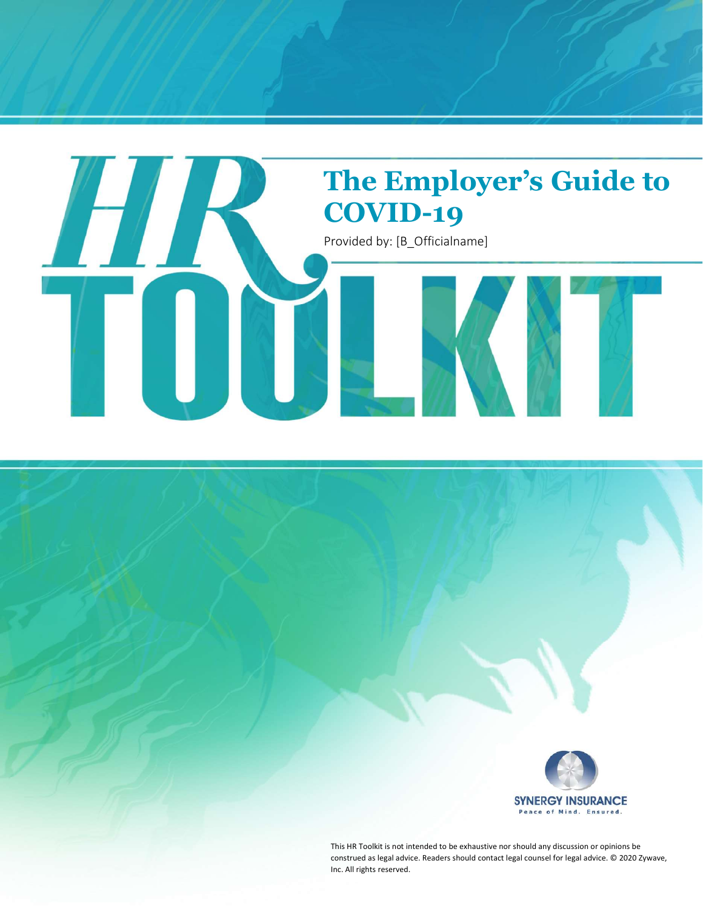



This HR Toolkit is not intended to be exhaustive nor should any discussion or opinions be construed as legal advice. Readers should contact legal counsel for legal advice. © 2020 Zywave, Inc. All rights reserved.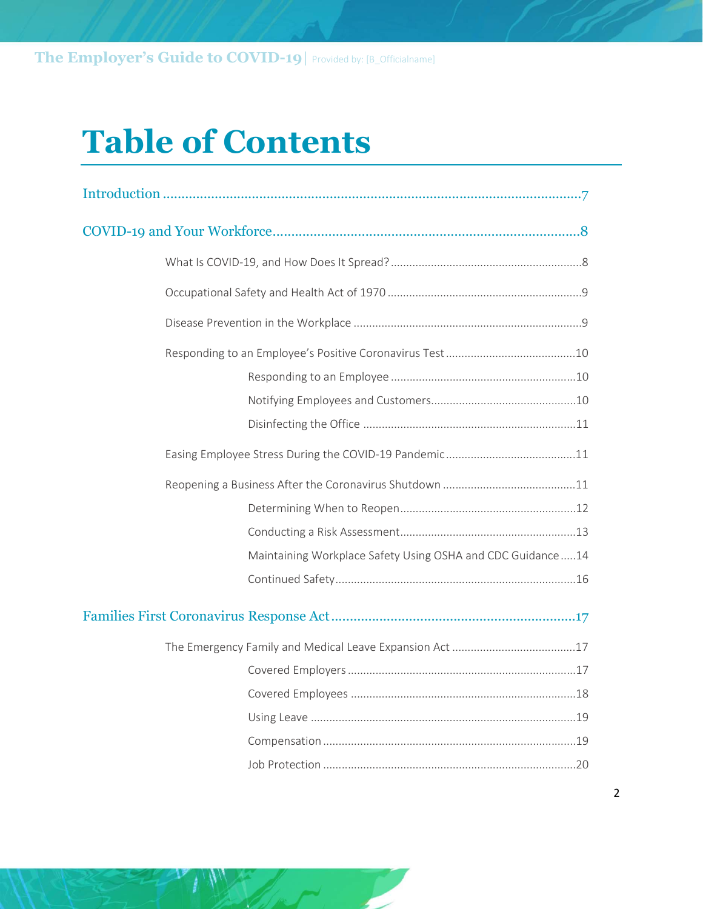# Table of Contents

| Maintaining Workplace Safety Using OSHA and CDC Guidance14 |  |  |
|------------------------------------------------------------|--|--|
|                                                            |  |  |
|                                                            |  |  |
|                                                            |  |  |
|                                                            |  |  |
|                                                            |  |  |
|                                                            |  |  |
|                                                            |  |  |
|                                                            |  |  |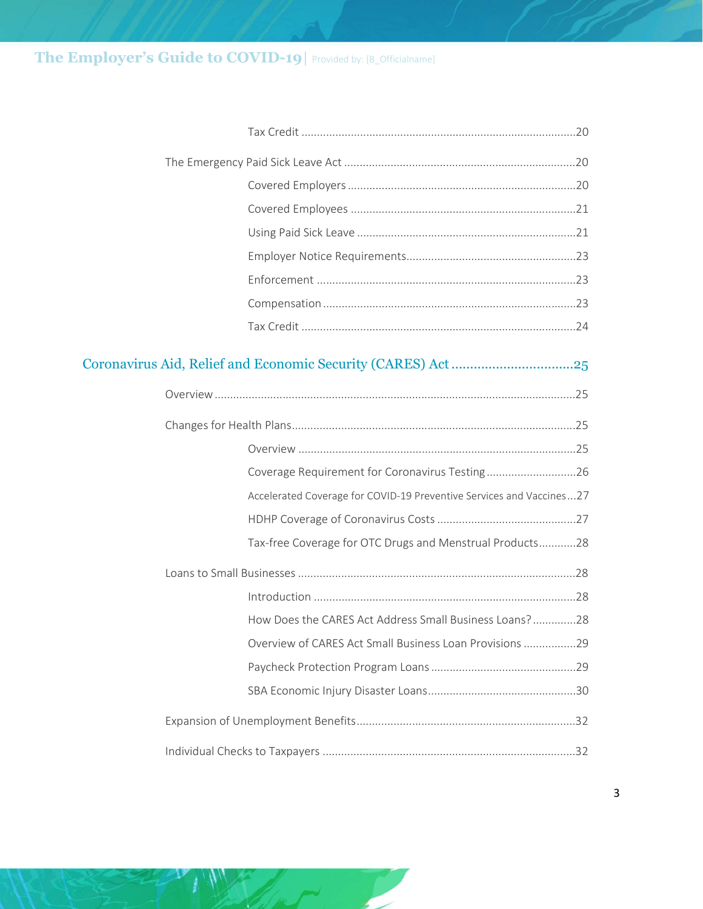#### The Employer's Guide to COVID-19 | Provided by: [B\_Officialname]

| Coverage Requirement for Coronavirus Testing26                       |  |
|----------------------------------------------------------------------|--|
| Accelerated Coverage for COVID-19 Preventive Services and Vaccines27 |  |
|                                                                      |  |
| Tax-free Coverage for OTC Drugs and Menstrual Products28             |  |
|                                                                      |  |
|                                                                      |  |
| How Does the CARES Act Address Small Business Loans?28               |  |
| Overview of CARES Act Small Business Loan Provisions 29              |  |
|                                                                      |  |
|                                                                      |  |
|                                                                      |  |
|                                                                      |  |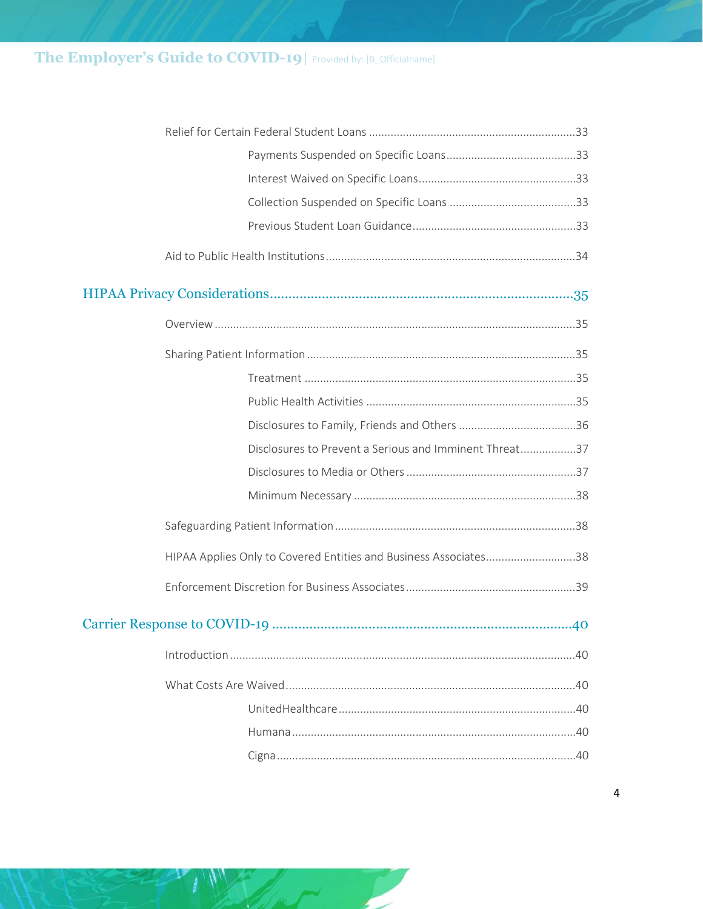### The Employer's Guide to COVID-19 | Provided by: [B\_Officialname]

|  | Disclosures to Prevent a Serious and Imminent Threat37           |  |
|--|------------------------------------------------------------------|--|
|  |                                                                  |  |
|  |                                                                  |  |
|  |                                                                  |  |
|  | HIPAA Applies Only to Covered Entities and Business Associates38 |  |
|  |                                                                  |  |
|  |                                                                  |  |
|  |                                                                  |  |
|  |                                                                  |  |
|  |                                                                  |  |
|  |                                                                  |  |
|  |                                                                  |  |

╱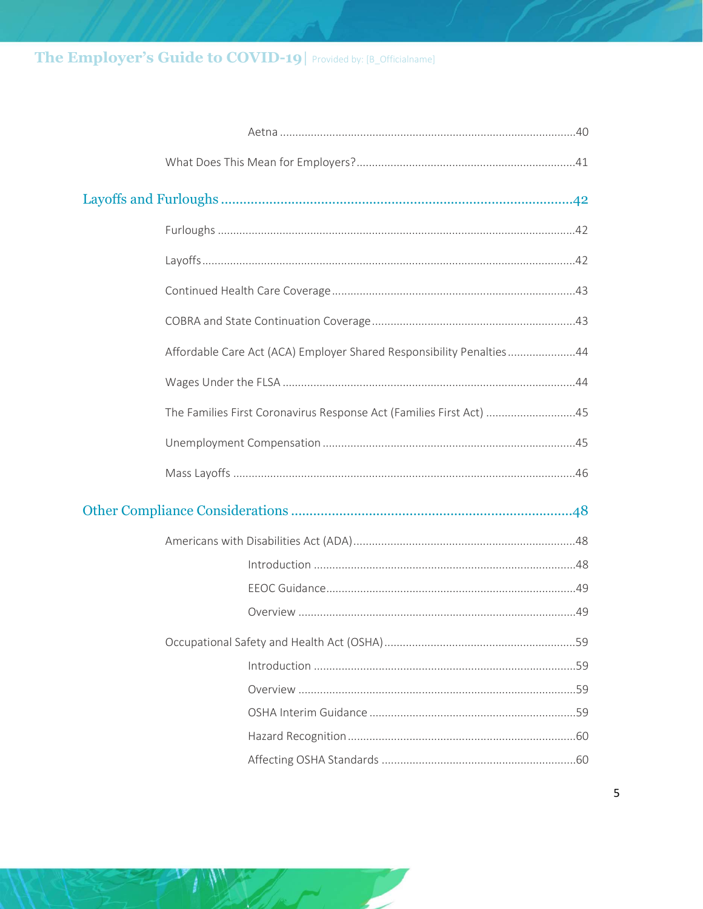### The Employer's Guide to COVID-19 | Provided by: [B\_Officialname]

|  | Affordable Care Act (ACA) Employer Shared Responsibility Penalties44 |
|--|----------------------------------------------------------------------|
|  |                                                                      |
|  | The Families First Coronavirus Response Act (Families First Act) 45  |
|  |                                                                      |
|  |                                                                      |
|  |                                                                      |
|  |                                                                      |
|  |                                                                      |
|  |                                                                      |
|  |                                                                      |
|  |                                                                      |
|  |                                                                      |
|  |                                                                      |
|  |                                                                      |
|  |                                                                      |
|  |                                                                      |
|  |                                                                      |

╱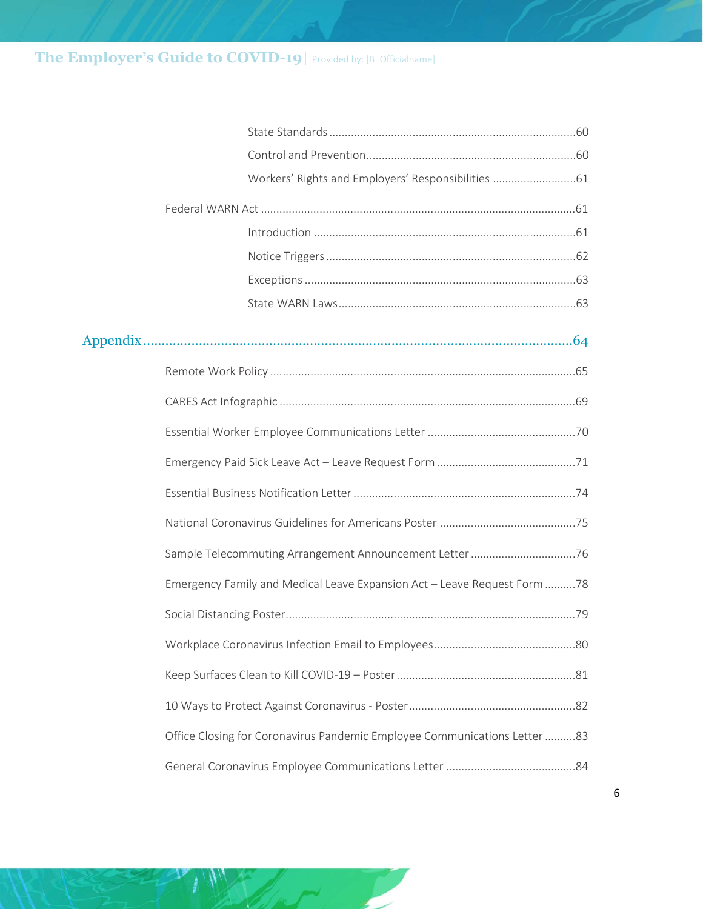### The Employer's Guide to COVID-19| Provided by: [B\_Officialname]

| Workers' Rights and Employers' Responsibilities  61                       |
|---------------------------------------------------------------------------|
|                                                                           |
|                                                                           |
|                                                                           |
|                                                                           |
|                                                                           |
|                                                                           |
|                                                                           |
|                                                                           |
|                                                                           |
|                                                                           |
|                                                                           |
|                                                                           |
|                                                                           |
| Emergency Family and Medical Leave Expansion Act - Leave Request Form 78  |
|                                                                           |
|                                                                           |
|                                                                           |
|                                                                           |
| Office Closing for Coronavirus Pandemic Employee Communications Letter 83 |
|                                                                           |

╱